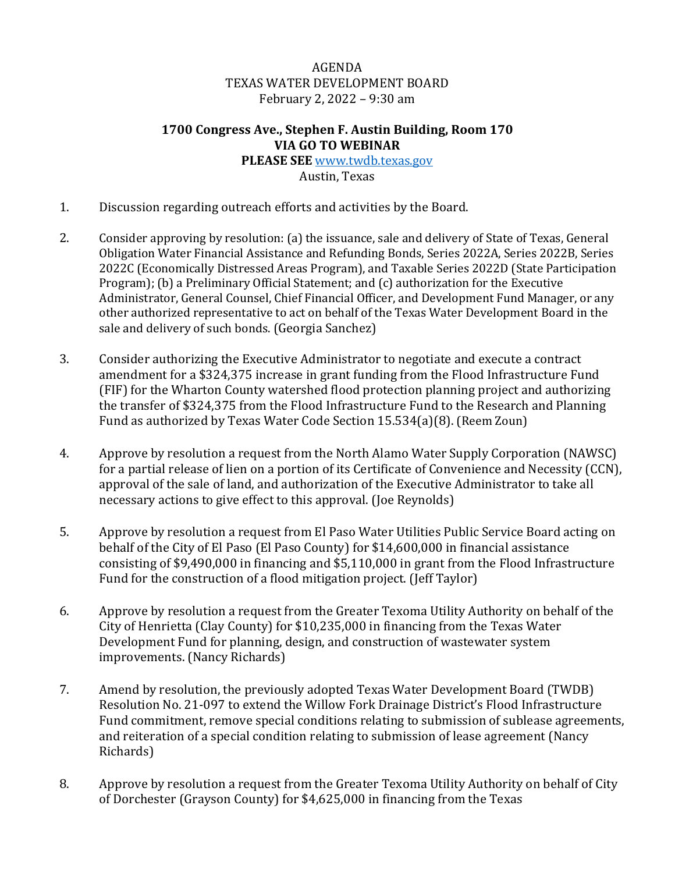## AGENDA TEXAS WATER DEVELOPMENT BOARD February 2, 2022 – 9:30 am

## **1700 Congress Ave., Stephen F. Austin Building, Room 170 VIA GO TO WEBINAR**

**PLEASE SEE** [www.twdb.texas.gov](http://www.twdb.texas.gov/) Austin, Texas

- 1. Discussion regarding outreach efforts and activities by the Board.
- 2. Consider approving by resolution: (a) the issuance, sale and delivery of State of Texas, General Obligation Water Financial Assistance and Refunding Bonds, Series 2022A, Series 2022B, Series 2022C (Economically Distressed Areas Program), and Taxable Series 2022D (State Participation Program); (b) a Preliminary Official Statement; and (c) authorization for the Executive Administrator, General Counsel, Chief Financial Officer, and Development Fund Manager, or any other authorized representative to act on behalf of the Texas Water Development Board in the sale and delivery of such bonds. (Georgia Sanchez)
- 3. Consider authorizing the Executive Administrator to negotiate and execute a contract amendment for a \$324,375 increase in grant funding from the Flood Infrastructure Fund (FIF) for the Wharton County watershed flood protection planning project and authorizing the transfer of \$324,375 from the Flood Infrastructure Fund to the Research and Planning Fund as authorized by Texas Water Code Section 15.534(a)(8). (Reem Zoun)
- 4. Approve by resolution a request from the North Alamo Water Supply Corporation (NAWSC) for a partial release of lien on a portion of its Certificate of Convenience and Necessity (CCN), approval of the sale of land, and authorization of the Executive Administrator to take all necessary actions to give effect to this approval. (Joe Reynolds)
- 5. Approve by resolution a request from El Paso Water Utilities Public Service Board acting on behalf of the City of El Paso (El Paso County) for \$14,600,000 in financial assistance consisting of \$9,490,000 in financing and \$5,110,000 in grant from the Flood Infrastructure Fund for the construction of a flood mitigation project. (Jeff Taylor)
- 6. Approve by resolution a request from the Greater Texoma Utility Authority on behalf of the City of Henrietta (Clay County) for \$10,235,000 in financing from the Texas Water Development Fund for planning, design, and construction of wastewater system improvements. (Nancy Richards)
- 7. Amend by resolution, the previously adopted Texas Water Development Board (TWDB) Resolution No. 21-097 to extend the Willow Fork Drainage District's Flood Infrastructure Fund commitment, remove special conditions relating to submission of sublease agreements, and reiteration of a special condition relating to submission of lease agreement (Nancy Richards)
- 8. Approve by resolution a request from the Greater Texoma Utility Authority on behalf of City of Dorchester (Grayson County) for \$4,625,000 in financing from the Texas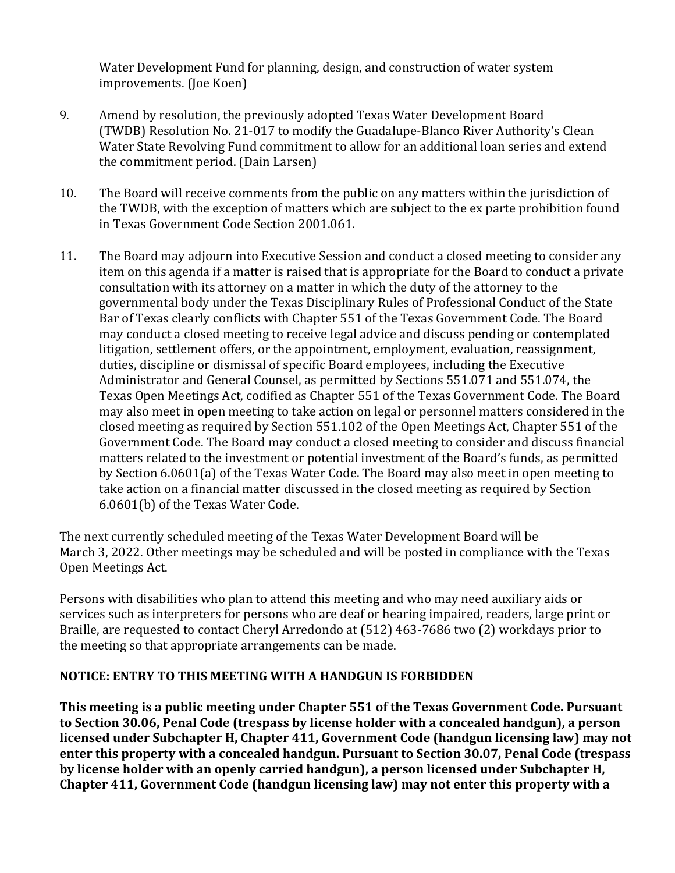Water Development Fund for planning, design, and construction of water system improvements. (Joe Koen)

- 9. Amend by resolution, the previously adopted Texas Water Development Board (TWDB) Resolution No. 21-017 to modify the Guadalupe-Blanco River Authority's Clean Water State Revolving Fund commitment to allow for an additional loan series and extend the commitment period. (Dain Larsen)
- 10. The Board will receive comments from the public on any matters within the jurisdiction of the TWDB, with the exception of matters which are subject to the ex parte prohibition found in Texas Government Code Section 2001.061.
- 11. The Board may adjourn into Executive Session and conduct a closed meeting to consider any item on this agenda if a matter is raised that is appropriate for the Board to conduct a private consultation with its attorney on a matter in which the duty of the attorney to the governmental body under the Texas Disciplinary Rules of Professional Conduct of the State Bar of Texas clearly conflicts with Chapter 551 of the Texas Government Code. The Board may conduct a closed meeting to receive legal advice and discuss pending or contemplated litigation, settlement offers, or the appointment, employment, evaluation, reassignment, duties, discipline or dismissal of specific Board employees, including the Executive Administrator and General Counsel, as permitted by Sections 551.071 and 551.074, the Texas Open Meetings Act, codified as Chapter 551 of the Texas Government Code. The Board may also meet in open meeting to take action on legal or personnel matters considered in the closed meeting as required by Section 551.102 of the Open Meetings Act, Chapter 551 of the Government Code. The Board may conduct a closed meeting to consider and discuss financial matters related to the investment or potential investment of the Board's funds, as permitted by Section 6.0601(a) of the Texas Water Code. The Board may also meet in open meeting to take action on a financial matter discussed in the closed meeting as required by Section 6.0601(b) of the Texas Water Code.

The next currently scheduled meeting of the Texas Water Development Board will be March 3, 2022. Other meetings may be scheduled and will be posted in compliance with the Texas Open Meetings Act.

Persons with disabilities who plan to attend this meeting and who may need auxiliary aids or services such as interpreters for persons who are deaf or hearing impaired, readers, large print or Braille, are requested to contact Cheryl Arredondo at (512) 463-7686 two (2) workdays prior to the meeting so that appropriate arrangements can be made.

## **NOTICE: ENTRY TO THIS MEETING WITH A HANDGUN IS FORBIDDEN**

**This meeting is a public meeting under Chapter 551 of the Texas Government Code. Pursuant to Section 30.06, Penal Code (trespass by license holder with a concealed handgun), a person licensed under Subchapter H, Chapter 411, Government Code (handgun licensing law) may not enter this property with a concealed handgun. Pursuant to Section 30.07, Penal Code (trespass by license holder with an openly carried handgun), a person licensed under Subchapter H, Chapter 411, Government Code (handgun licensing law) may not enter this property with a**